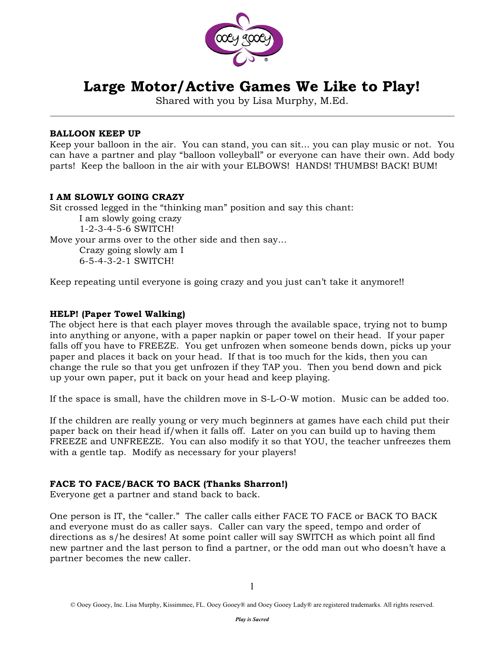

# **Large Motor/Active Games We Like to Play!**

Shared with you by Lisa Murphy, M.Ed.

# **BALLOON KEEP UP**

Keep your balloon in the air. You can stand, you can sit… you can play music or not. You can have a partner and play "balloon volleyball" or everyone can have their own. Add body parts! Keep the balloon in the air with your ELBOWS! HANDS! THUMBS! BACK! BUM!

# **I AM SLOWLY GOING CRAZY**

Sit crossed legged in the "thinking man" position and say this chant: I am slowly going crazy

1-2-3-4-5-6 SWITCH!

Move your arms over to the other side and then say…

Crazy going slowly am I 6-5-4-3-2-1 SWITCH!

Keep repeating until everyone is going crazy and you just can't take it anymore!!

## **HELP! (Paper Towel Walking)**

The object here is that each player moves through the available space, trying not to bump into anything or anyone, with a paper napkin or paper towel on their head. If your paper falls off you have to FREEZE. You get unfrozen when someone bends down, picks up your paper and places it back on your head. If that is too much for the kids, then you can change the rule so that you get unfrozen if they TAP you. Then you bend down and pick up your own paper, put it back on your head and keep playing.

If the space is small, have the children move in S-L-O-W motion. Music can be added too.

If the children are really young or very much beginners at games have each child put their paper back on their head if/when it falls off. Later on you can build up to having them FREEZE and UNFREEZE. You can also modify it so that YOU, the teacher unfreezes them with a gentle tap. Modify as necessary for your players!

# **FACE TO FACE/BACK TO BACK (Thanks Sharron!)**

Everyone get a partner and stand back to back.

One person is IT, the "caller." The caller calls either FACE TO FACE or BACK TO BACK and everyone must do as caller says. Caller can vary the speed, tempo and order of directions as s/he desires! At some point caller will say SWITCH as which point all find new partner and the last person to find a partner, or the odd man out who doesn't have a partner becomes the new caller.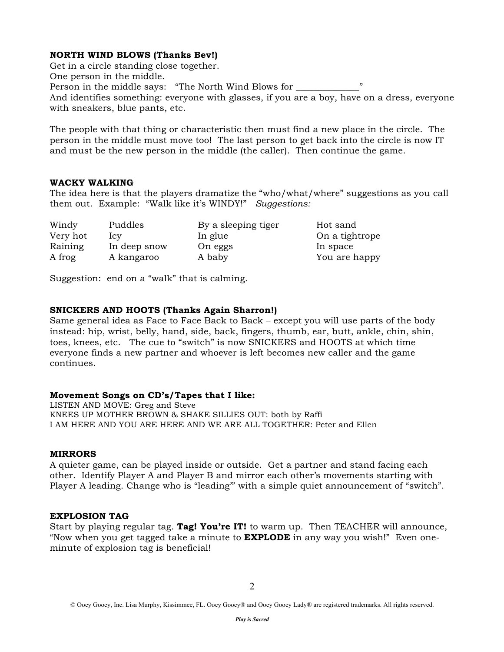# **NORTH WIND BLOWS (Thanks Bev!)**

Get in a circle standing close together. One person in the middle. Person in the middle says: "The North Wind Blows for \_\_\_\_\_\_\_ And identifies something: everyone with glasses, if you are a boy, have on a dress, everyone with sneakers, blue pants, etc.

The people with that thing or characteristic then must find a new place in the circle. The person in the middle must move too! The last person to get back into the circle is now IT and must be the new person in the middle (the caller). Then continue the game.

#### **WACKY WALKING**

The idea here is that the players dramatize the "who/what/where" suggestions as you call them out. Example: "Walk like it's WINDY!" *Suggestions:*

| Windy    | Puddles      | By a sleeping tiger | Hot sand       |
|----------|--------------|---------------------|----------------|
| Very hot | lcv          | In glue             | On a tightrope |
| Raining  | In deep snow | On eggs             | In space       |
| A frog   | A kangaroo   | A baby              | You are happy  |

Suggestion: end on a "walk" that is calming.

#### **SNICKERS AND HOOTS (Thanks Again Sharron!)**

Same general idea as Face to Face Back to Back – except you will use parts of the body instead: hip, wrist, belly, hand, side, back, fingers, thumb, ear, butt, ankle, chin, shin, toes, knees, etc. The cue to "switch" is now SNICKERS and HOOTS at which time everyone finds a new partner and whoever is left becomes new caller and the game continues.

#### **Movement Songs on CD's/Tapes that I like:**

LISTEN AND MOVE: Greg and Steve KNEES UP MOTHER BROWN & SHAKE SILLIES OUT: both by Raffi I AM HERE AND YOU ARE HERE AND WE ARE ALL TOGETHER: Peter and Ellen

#### **MIRRORS**

A quieter game, can be played inside or outside. Get a partner and stand facing each other. Identify Player A and Player B and mirror each other's movements starting with Player A leading. Change who is "leading'" with a simple quiet announcement of "switch".

#### **EXPLOSION TAG**

Start by playing regular tag. **Tag! You're IT!** to warm up. Then TEACHER will announce, "Now when you get tagged take a minute to **EXPLODE** in any way you wish!" Even oneminute of explosion tag is beneficial!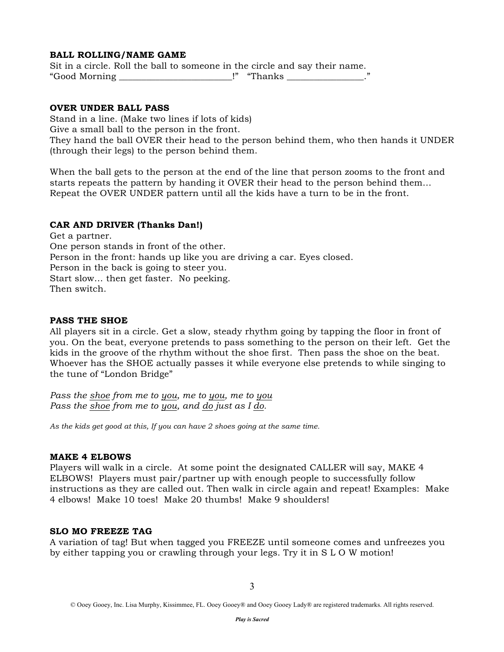## **BALL ROLLING/NAME GAME**

Sit in a circle. Roll the ball to someone in the circle and say their name. "Good Morning \_\_\_\_\_\_\_\_\_\_\_\_\_\_\_\_\_\_\_\_\_\_\_\_\_!" "Thanks \_\_\_\_\_\_\_\_\_\_\_\_\_\_\_\_\_."

#### **OVER UNDER BALL PASS**

Stand in a line. (Make two lines if lots of kids) Give a small ball to the person in the front. They hand the ball OVER their head to the person behind them, who then hands it UNDER (through their legs) to the person behind them.

When the ball gets to the person at the end of the line that person zooms to the front and starts repeats the pattern by handing it OVER their head to the person behind them… Repeat the OVER UNDER pattern until all the kids have a turn to be in the front.

#### **CAR AND DRIVER (Thanks Dan!)**

Get a partner. One person stands in front of the other. Person in the front: hands up like you are driving a car. Eyes closed. Person in the back is going to steer you. Start slow… then get faster. No peeking. Then switch.

#### **PASS THE SHOE**

All players sit in a circle. Get a slow, steady rhythm going by tapping the floor in front of you. On the beat, everyone pretends to pass something to the person on their left. Get the kids in the groove of the rhythm without the shoe first. Then pass the shoe on the beat. Whoever has the SHOE actually passes it while everyone else pretends to while singing to the tune of "London Bridge"

*Pass the shoe from me to you, me to you, me to you Pass the shoe from me to you, and do just as I do.*

*As the kids get good at this, If you can have 2 shoes going at the same time.*

#### **MAKE 4 ELBOWS**

Players will walk in a circle. At some point the designated CALLER will say, MAKE 4 ELBOWS! Players must pair/partner up with enough people to successfully follow instructions as they are called out. Then walk in circle again and repeat! Examples: Make 4 elbows! Make 10 toes! Make 20 thumbs! Make 9 shoulders!

#### **SLO MO FREEZE TAG**

A variation of tag! But when tagged you FREEZE until someone comes and unfreezes you by either tapping you or crawling through your legs. Try it in S L O W motion!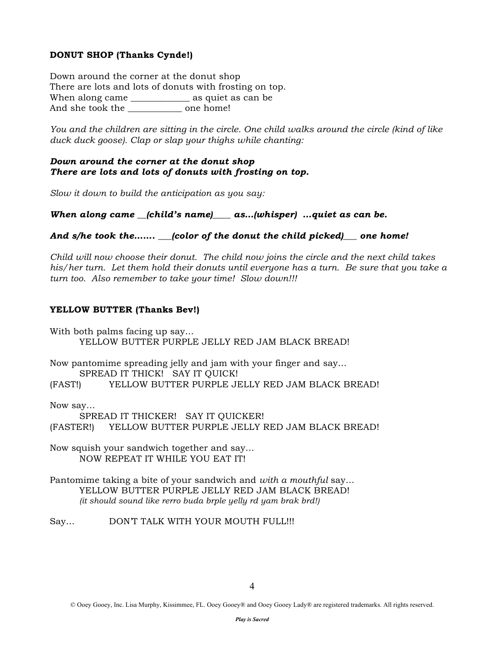# **DONUT SHOP (Thanks Cynde!)**

Down around the corner at the donut shop There are lots and lots of donuts with frosting on top. When along came \_\_\_\_\_\_\_\_\_\_\_\_\_ as quiet as can be And she took the one home!

*You and the children are sitting in the circle. One child walks around the circle (kind of like duck duck goose). Clap or slap your thighs while chanting:*

### *Down around the corner at the donut shop There are lots and lots of donuts with frosting on top.*

*Slow it down to build the anticipation as you say:*

*When along came \_\_(child's name)\_\_\_\_ as…(whisper) …quiet as can be.*

#### *And s/he took the……. \_\_\_(color of the donut the child picked)\_\_\_ one home!*

*Child will now choose their donut. The child now joins the circle and the next child takes his/her turn. Let them hold their donuts until everyone has a turn. Be sure that you take a turn too. Also remember to take your time! Slow down!!!*

## **YELLOW BUTTER (Thanks Bev!)**

With both palms facing up say… YELLOW BUTTER PURPLE JELLY RED JAM BLACK BREAD!

Now pantomime spreading jelly and jam with your finger and say…

SPREAD IT THICK! SAY IT QUICK!

(FAST!) YELLOW BUTTER PURPLE JELLY RED JAM BLACK BREAD!

Now say…

SPREAD IT THICKER! SAY IT QUICKER! (FASTER!) YELLOW BUTTER PURPLE JELLY RED JAM BLACK BREAD!

Now squish your sandwich together and say… NOW REPEAT IT WHILE YOU EAT IT!

Pantomime taking a bite of your sandwich and *with a mouthful* say… YELLOW BUTTER PURPLE JELLY RED JAM BLACK BREAD! *(it should sound like rerro buda brple yelly rd yam brak brd!)*

Say... DON'T TALK WITH YOUR MOUTH FULL!!!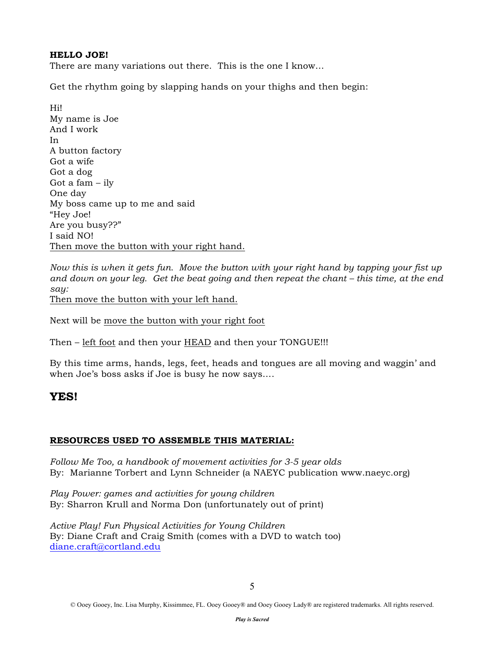# **HELLO JOE!**

There are many variations out there. This is the one I know…

Get the rhythm going by slapping hands on your thighs and then begin:

Hi! My name is Joe And I work In A button factory Got a wife Got a dog Got a fam – ily One day My boss came up to me and said "Hey Joe! Are you busy??" I said NO! Then move the button with your right hand.

*Now this is when it gets fun. Move the button with your right hand by tapping your fist up and down on your leg. Get the beat going and then repeat the chant – this time, at the end say:* Then move the button with your left hand.

Next will be move the button with your right foot

Then – left foot and then your HEAD and then your TONGUE!!!

By this time arms, hands, legs, feet, heads and tongues are all moving and waggin' and when Joe's boss asks if Joe is busy he now says….

# **YES!**

# **RESOURCES USED TO ASSEMBLE THIS MATERIAL:**

*Follow Me Too, a handbook of movement activities for 3-5 year olds* By: Marianne Torbert and Lynn Schneider (a NAEYC publication www.naeyc.org)

*Play Power: games and activities for young children* By: Sharron Krull and Norma Don (unfortunately out of print)

*Active Play! Fun Physical Activities for Young Children* By: Diane Craft and Craig Smith (comes with a DVD to watch too) diane.craft@cortland.edu